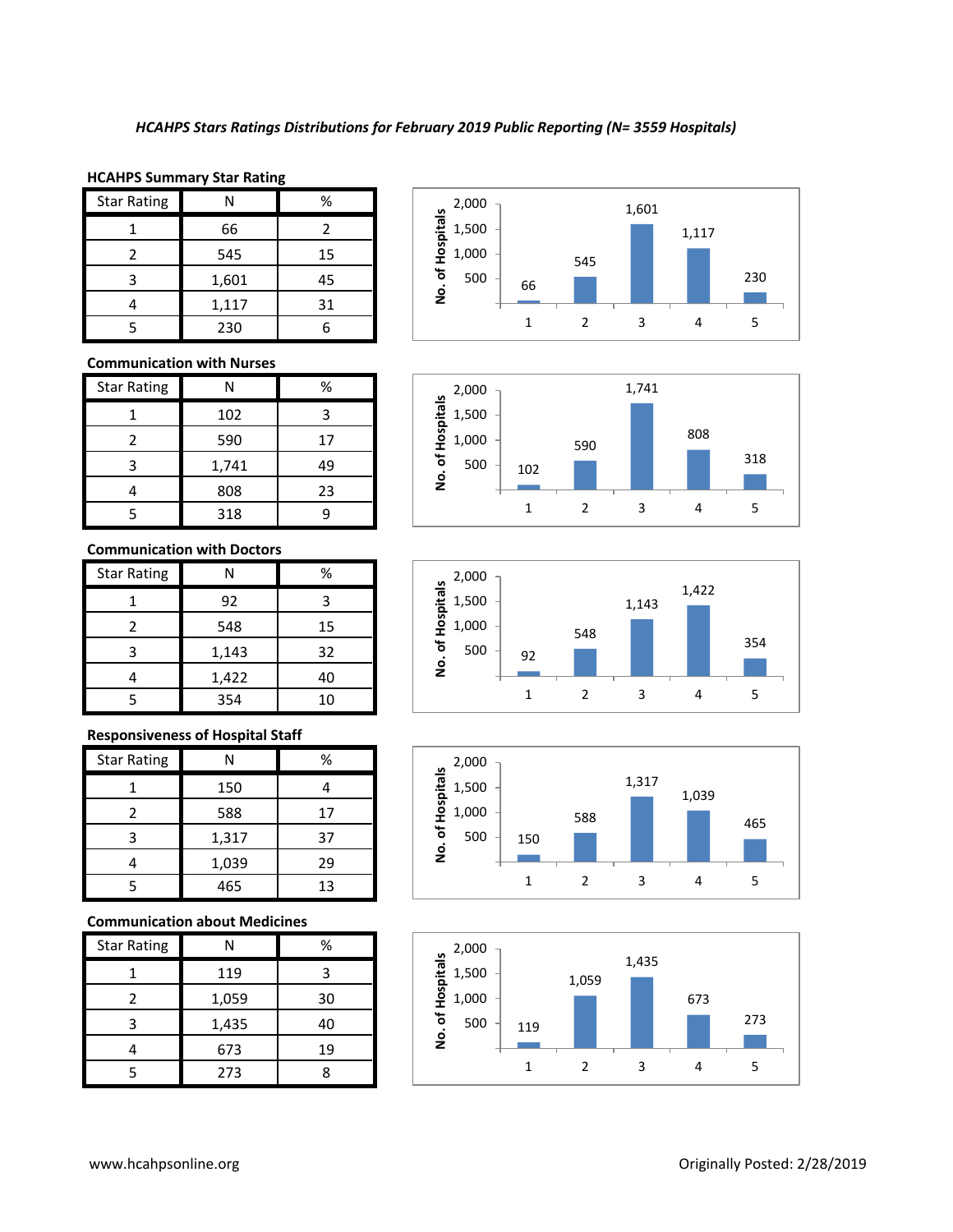### **HCAHPS Summary Star Rating**

| <b>Star Rating</b> |       | %  |
|--------------------|-------|----|
|                    | 66    |    |
|                    | 545   | 15 |
| 3                  | 1,601 | 45 |
|                    | 1,117 | 31 |
|                    | 230   |    |

## **Communication with Nurses**

| <b>Star Rating</b> | N     | %  |
|--------------------|-------|----|
|                    | 102   |    |
| 2                  | 590   | 17 |
| 3                  | 1,741 | 49 |
|                    | 808   | 23 |
|                    | 318   |    |

## **Communication with Doctors**

| <b>Star Rating</b> |       | %  |
|--------------------|-------|----|
|                    | 92    | З  |
|                    | 548   | 15 |
| 3                  | 1,143 | 32 |
|                    | 1,422 | 40 |
|                    | 354   | 10 |

#### **Responsiveness of Hospital Staff**

| <b>Star Rating</b> | N     | %  |
|--------------------|-------|----|
|                    | 150   |    |
|                    | 588   | 17 |
| 3                  | 1,317 | 37 |
|                    | 1,039 | 29 |
|                    | 465   | 13 |

## **Communication about Medicines**

| <b>Star Rating</b> |       | %  |
|--------------------|-------|----|
|                    | 119   | з  |
|                    | 1,059 | 30 |
| 3                  | 1,435 | 40 |
|                    | 673   | 19 |
|                    | 273   |    |









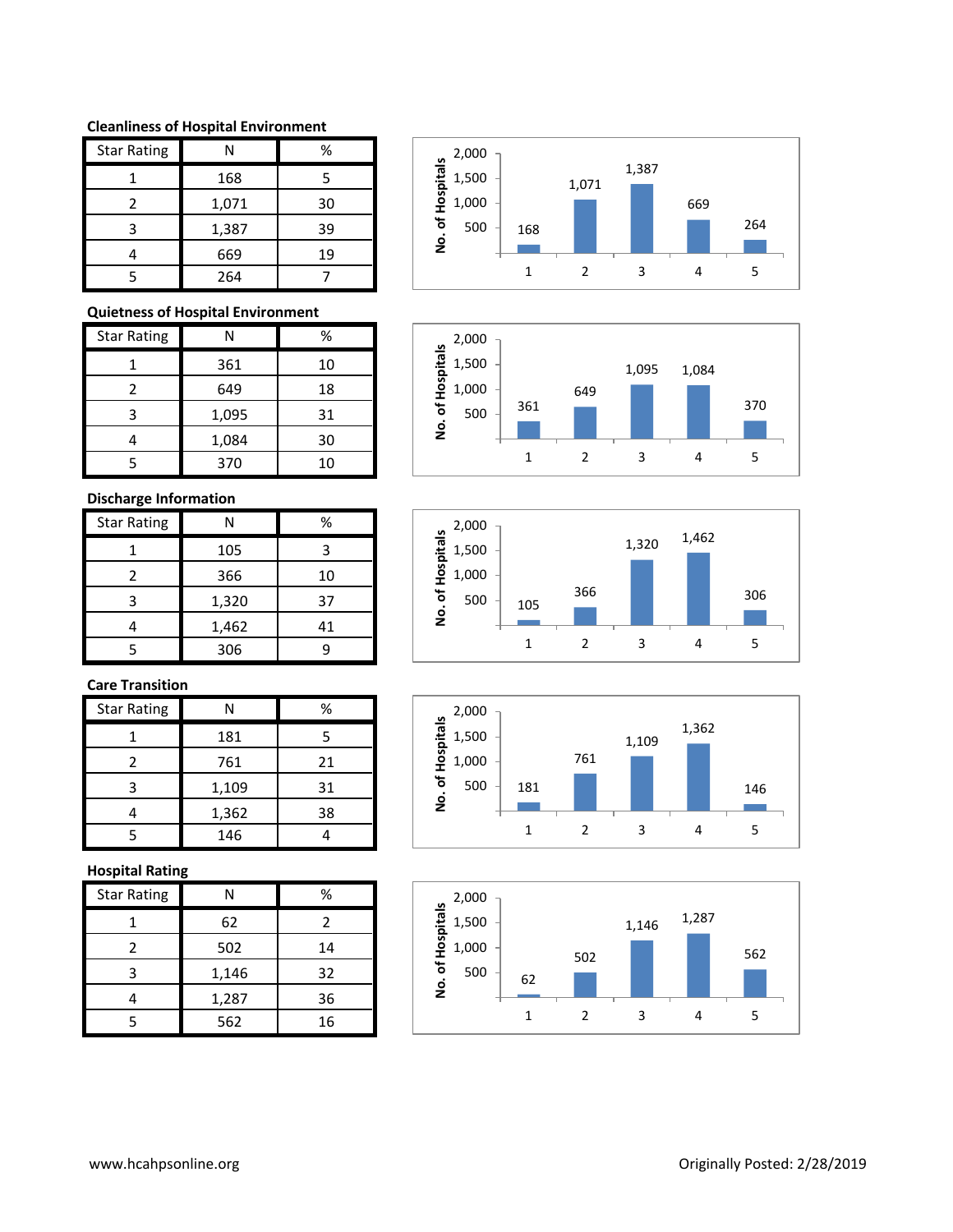#### **Cleanliness of Hospital Environment**

| <b>Star Rating</b> | Ν     | %  |
|--------------------|-------|----|
|                    | 168   | 5  |
| $\mathcal{P}$      | 1,071 | 30 |
| ੨                  | 1,387 | 39 |
|                    | 669   | 19 |
|                    | 264   |    |

## **Quietness of Hospital Environment**

| <b>Star Rating</b> | N     | %  |
|--------------------|-------|----|
|                    | 361   | 10 |
| 2                  | 649   | 18 |
| 3                  | 1,095 | 31 |
|                    | 1,084 | 30 |
|                    | 370   | 10 |

## **Discharge Information**

| <b>Star Rating</b> |       | %  |
|--------------------|-------|----|
|                    | 105   | 3  |
| 2                  | 366   | 10 |
| ੨                  | 1,320 | 37 |
|                    | 1,462 | 41 |
|                    | 306   |    |

# **Care Transition**

| <b>Star Rating</b> | N     | %  |
|--------------------|-------|----|
|                    | 181   | 5  |
|                    | 761   | 21 |
|                    | 1,109 | 31 |
|                    | 1,362 | 38 |
|                    | 146   |    |

## **Hospital Rating**

| <b>Star Rating</b> | Ν     | %  |
|--------------------|-------|----|
|                    | 62    | 2  |
| 2                  | 502   | 14 |
| 3                  | 1,146 | 32 |
|                    | 1,287 | 36 |
| 5                  | 562   | 16 |